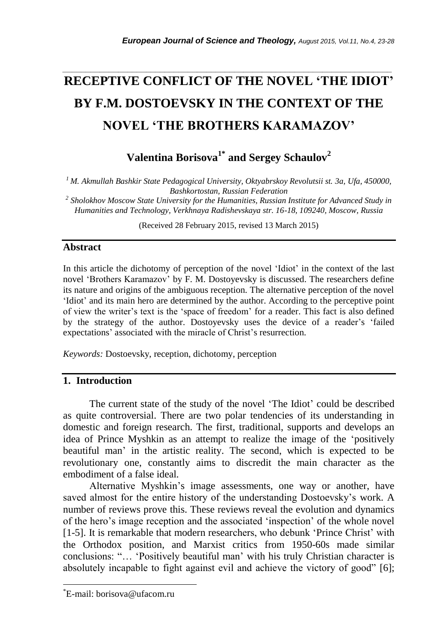# **RECEPTIVE CONFLICT OF THE NOVEL 'THE IDIOT' BY F.M. DOSTOEVSKY IN THE CONTEXT OF THE NOVEL 'THE BROTHERS KARAMAZOV'**

*\_\_\_\_\_\_\_\_\_\_\_\_\_\_\_\_\_\_\_\_\_\_\_\_\_\_\_\_\_\_\_\_\_\_\_\_\_\_\_\_\_\_\_\_\_\_\_\_\_\_\_\_\_\_\_\_\_\_\_\_\_\_\_\_\_\_\_\_\_\_\_*

**Valentina Borisova1\* and Sergey Schaulov<sup>2</sup>**

*<sup>1</sup>M. Akmullah Bashkir State Pedagogical University, Oktyabrskoy Revolutsii st. 3a, Ufa, 450000, Bashkortostan, Russian Federation* 

*2 Sholokhov Moscow State University for the Humanities, Russian Institute for Advanced Study in Humanities and Technology, Verkhnaya Radishevskaya str. 16-18, 109240, Moscow, Russia*

(Received 28 February 2015, revised 13 March 2015)

## **Abstract**

In this article the dichotomy of perception of the novel "Idiot" in the context of the last novel "Brothers Karamazov" by F. M. Dostoyevsky is discussed. The researchers define its nature and origins of the ambiguous reception. The alternative perception of the novel "Idiot" and its main hero are determined by the author. According to the perceptive point of view the writer"s text is the "space of freedom" for a reader. This fact is also defined by the strategy of the author. Dostoyevsky uses the device of a reader"s "failed expectations' associated with the miracle of Christ's resurrection.

*Keywords:* Dostoevsky, reception, dichotomy, perception

## **1. Introduction**

The current state of the study of the novel "The Idiot" could be described as quite controversial. There are two polar tendencies of its understanding in domestic and foreign research. The first, traditional, supports and develops an idea of Prince Myshkin as an attempt to realize the image of the "positively beautiful man" in the artistic reality. The second, which is expected to be revolutionary one, constantly aims to discredit the main character as the embodiment of a false ideal.

Alternative Myshkin"s image assessments, one way or another, have saved almost for the entire history of the understanding Dostoevsky"s work. A number of reviews prove this. These reviews reveal the evolution and dynamics of the hero"s image reception and the associated "inspection" of the whole novel [1-5]. It is remarkable that modern researchers, who debunk 'Prince Christ' with the Orthodox position, and Marxist critics from 1950-60s made similar conclusions: "… "Positively beautiful man" with his truly Christian character is absolutely incapable to fight against evil and achieve the victory of good" [6];

l

<sup>\*</sup>E-mail: [borisova@ufacom.ru](mailto:borisova@ufacom.ru)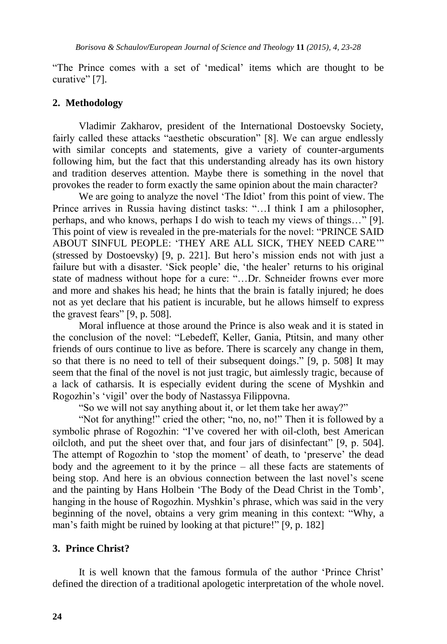"The Prince comes with a set of "medical" items which are thought to be curative" [7].

## **2. Methodology**

Vladimir Zakharov, president of the International Dostoevsky Society, fairly called these attacks "aesthetic obscuration" [8]. We can argue endlessly with similar concepts and statements, give a variety of counter-arguments following him, but the fact that this understanding already has its own history and tradition deserves attention. Maybe there is something in the novel that provokes the reader to form exactly the same opinion about the main character?

We are going to analyze the novel 'The Idiot' from this point of view. The Prince arrives in Russia having distinct tasks: "…I think I am a philosopher, perhaps, and who knows, perhaps I do wish to teach my views of things…" [9]. This point of view is revealed in the pre-materials for the novel: "PRINCE SAID ABOUT SINFUL PEOPLE: "THEY ARE ALL SICK, THEY NEED CARE"" (stressed by Dostoevsky) [9, p. 221]. But hero"s mission ends not with just a failure but with a disaster. 'Sick people' die, 'the healer' returns to his original state of madness without hope for a cure: "…Dr. Schneider frowns ever more and more and shakes his head; he hints that the brain is fatally injured; he does not as yet declare that his patient is incurable, but he allows himself to express the gravest fears" [9, p. 508].

Moral influence at those around the Prince is also weak and it is stated in the conclusion of the novel: "Lebedeff, Keller, Gania, Ptitsin, and many other friends of ours continue to live as before. There is scarcely any change in them, so that there is no need to tell of their subsequent doings." [9, p. 508] It may seem that the final of the novel is not just tragic, but aimlessly tragic, because of a lack of catharsis. It is especially evident during the scene of Myshkin and Rogozhin"s "vigil" over the body of Nastassya Filippovna.

"So we will not say anything about it, or let them take her away?"

"Not for anything!" cried the other; "no, no, no!" Then it is followed by a symbolic phrase of Rogozhin: "I've covered her with oil-cloth, best American oilcloth, and put the sheet over that, and four jars of disinfectant" [9, p. 504]. The attempt of Rogozhin to 'stop the moment' of death, to 'preserve' the dead body and the agreement to it by the prince – all these facts are statements of being stop. And here is an obvious connection between the last novel"s scene and the painting by Hans Holbein "The Body of the Dead Christ in the Tomb", hanging in the house of Rogozhin. Myshkin"s phrase, which was said in the very beginning of the novel, obtains a very grim meaning in this context: "Why, a man"s faith might be ruined by looking at that picture!" [9, p. 182]

#### **3. Prince Christ?**

It is well known that the famous formula of the author "Prince Christ" defined the direction of a traditional apologetic interpretation of the whole novel.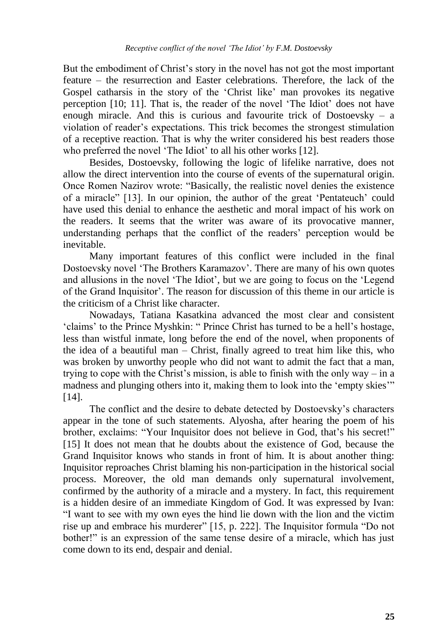But the embodiment of Christ"s story in the novel has not got the most important feature – the resurrection and Easter celebrations. Therefore, the lack of the Gospel catharsis in the story of the 'Christ like' man provokes its negative perception [10; 11]. That is, the reader of the novel "The Idiot" does not have enough miracle. And this is curious and favourite trick of Dostoevsky – a violation of reader"s expectations. This trick becomes the strongest stimulation of a receptive reaction. That is why the writer considered his best readers those who preferred the novel 'The Idiot' to all his other works [12].

Besides, Dostoevsky, following the logic of lifelike narrative, does not allow the direct intervention into the course of events of the supernatural origin. Once Romen Nazirov wrote: "Basically, the realistic novel denies the existence of a miracle" [13]. In our opinion, the author of the great "Pentateuch" could have used this denial to enhance the aesthetic and moral impact of his work on the readers. It seems that the writer was aware of its provocative manner, understanding perhaps that the conflict of the readers" perception would be inevitable.

Many important features of this conflict were included in the final Dostoevsky novel "The Brothers Karamazov". There are many of his own quotes and allusions in the novel "The Idiot", but we are going to focus on the "Legend of the Grand Inquisitor". The reason for discussion of this theme in our article is the criticism of a Christ like character.

Nowadays, Tatiana Kasatkina advanced the most clear and consistent 'claims' to the Prince Myshkin: " Prince Christ has turned to be a hell's hostage, less than wistful inmate, long before the end of the novel, when proponents of the idea of a beautiful man – Christ, finally agreed to treat him like this, who was broken by unworthy people who did not want to admit the fact that a man, trying to cope with the Christ's mission, is able to finish with the only way – in a madness and plunging others into it, making them to look into the "empty skies"" [14].

The conflict and the desire to debate detected by Dostoevsky"s characters appear in the tone of such statements. Alyosha, after hearing the poem of his brother, exclaims: "Your Inquisitor does not believe in God, that"s his secret!" [15] It does not mean that he doubts about the existence of God, because the Grand Inquisitor knows who stands in front of him. It is about another thing: Inquisitor reproaches Christ blaming his non-participation in the historical social process. Moreover, the old man demands only supernatural involvement, confirmed by the authority of a miracle and a mystery. In fact, this requirement is a hidden desire of an immediate Kingdom of God. It was expressed by Ivan: "I want to see with my own eyes the hind lie down with the lion and the victim rise up and embrace his murderer" [15, p. 222]. The Inquisitor formula "Do not bother!" is an expression of the same tense desire of a miracle, which has just come down to its end, despair and denial.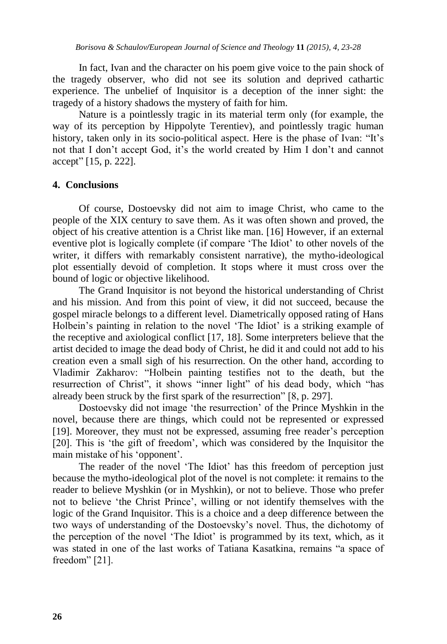In fact, Ivan and the character on his poem give voice to the pain shock of the tragedy observer, who did not see its solution and deprived cathartic experience. The unbelief of Inquisitor is a deception of the inner sight: the tragedy of a history shadows the mystery of faith for him.

Nature is a pointlessly tragic in its material term only (for example, the way of its perception by Hippolyte Terentiev), and pointlessly tragic human history, taken only in its socio-political aspect. Here is the phase of Ivan: "It's not that I don"t accept God, it"s the world created by Him I don"t and cannot accept" [15, p. 222].

## **4. Conclusions**

Of course, Dostoevsky did not aim to image Christ, who came to the people of the XIX century to save them. As it was often shown and proved, the object of his creative attention is a Christ like man. [16] However, if an external eventive plot is logically complete (if compare "The Idiot" to other novels of the writer, it differs with remarkably consistent narrative), the mytho-ideological plot essentially devoid of completion. It stops where it must cross over the bound of logic or objective likelihood.

The Grand Inquisitor is not beyond the historical understanding of Christ and his mission. And from this point of view, it did not succeed, because the gospel miracle belongs to a different level. Diametrically opposed rating of Hans Holbein's painting in relation to the novel 'The Idiot' is a striking example of the receptive and axiological conflict [17, 18]. Some interpreters believe that the artist decided to image the dead body of Christ, he did it and could not add to his creation even a small sigh of his resurrection. On the other hand, according to Vladimir Zakharov: "Holbein painting testifies not to the death, but the resurrection of Christ", it shows "inner light" of his dead body, which "has already been struck by the first spark of the resurrection" [8, p. 297].

Dostoevsky did not image "the resurrection" of the Prince Myshkin in the novel, because there are things, which could not be represented or expressed [19]. Moreover, they must not be expressed, assuming free reader"s perception [20]. This is 'the gift of freedom', which was considered by the Inquisitor the main mistake of his 'opponent'.

The reader of the novel "The Idiot" has this freedom of perception just because the mytho-ideological plot of the novel is not complete: it remains to the reader to believe Myshkin (or in Myshkin), or not to believe. Those who prefer not to believe "the Christ Prince", willing or not identify themselves with the logic of the Grand Inquisitor. This is a choice and a deep difference between the two ways of understanding of the Dostoevsky"s novel. Thus, the dichotomy of the perception of the novel "The Idiot" is programmed by its text, which, as it was stated in one of the last works of Tatiana Kasatkina, remains "a space of freedom" [21].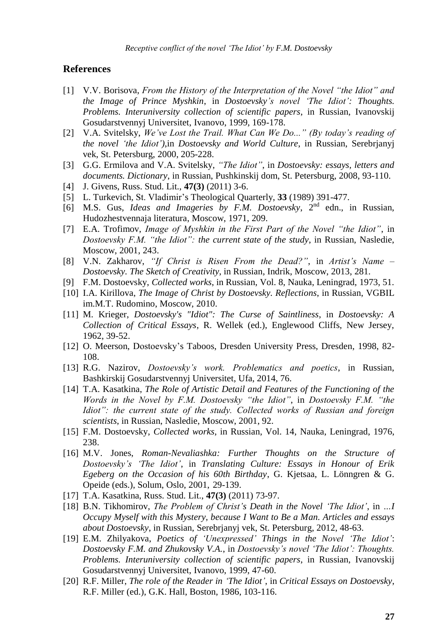#### **References**

- [1] V.V. Borisova, *From the History of the Interpretation of the Novel "the Idiot" and the Image of Prince Myshkin*, in *Dostoevsky"s novel "The Idiot": Thoughts. Problems. Interuniversity collection of scientific papers*, in Russian, Ivanovskij Gosudarstvennyj Universitet, Ivanovo, 1999, 169-178.
- [2] V.A. Svitelsky, We've Lost the Trail. What Can We Do..." (By today's reading of *the novel "the Idiot")*,in *Dostoevsky and World Culture*, in Russian, Serebrjanyj vek, St. Petersburg, 2000, 205-228.
- [3] G.G. Ermilova and V.A. Svitelsky, *"The Idiot"*, in *Dostoevsky: essays, letters and documents. Dictionary*, in Russian, Pushkinskij dom, St. Petersburg, 2008, 93-110.
- [4] J. Givens, Russ. Stud. Lit., **47(3)** (2011) 3-6.
- [5] L. Turkevich, St. Vladimir"s Theological Quarterly, **33** (1989) 391-477.
- [6] M.S. Gus, *Ideas and Imageries by F.M. Dostoevsky*, 2<sup>nd</sup> edn., in Russian, Hudozhestvennaja literatura, Moscow, 1971, 209.
- [7] E.A. Trofimov, *Image of Myshkin in the First Part of the Novel "the Idiot"*, in *Dostoevsky F.M. "the Idiot": the current state of the study*, in Russian, Nasledie, Moscow, 2001, 243.
- [8] V.N. Zakharov, *"If Christ is Risen From the Dead?"*, in *Artist"s Name – Dostoevsky. The Sketch of Creativity*, in Russian, Indrik, Moscow, 2013, 281.
- [9] F.M. Dostoevsky, *Collected works*, in Russian, Vol. 8, Nauka, Leningrad, 1973, 51.
- [10] I.A. Kirillova, *The Image of Christ by Dostoevsky. Reflections*, in Russian, VGBIL im.M.T. Rudomino, Moscow, 2010.
- [11] M. Krieger, *Dostoevsky's "Idiot": The Curse of Saintliness*, in *Dostoevsky: A Collection of Critical Essays*, R. Wellek (ed.), Englewood Cliffs, New Jersey, 1962, 39-52.
- [12] O. Meerson, Dostoevsky"s Taboos, Dresden University Press, Dresden, 1998, 82- 108.
- [13] R.G. Nazirov, *Dostoevsky"s work. Problematics and poetics*, in Russian, Bashkirskij Gosudarstvennyj Universitet, Ufa, 2014, 76.
- [14] T.A. Kasatkina, *The Role of Artistic Detail and Features of the Functioning of the Words in the Novel by F.M. Dostoevsky "the Idiot"*, in *Dostoevsky F.M. "the Idiot": the current state of the study. Collected works of Russian and foreign scientists*, in Russian, Nasledie, Moscow, 2001, 92.
- [15] F.M. Dostoevsky, *Collected works*, in Russian, Vol. 14, Nauka, Leningrad, 1976, 238.
- [16] M.V. Jones, *Roman-Nevaliashka: Further Thoughts on the Structure of Dostoevsky"s "The Idiot"*, in *Translating Culture: Essays in Honour of Erik Egeberg on the Occasion of his 60th Birthday*, G. Kjetsaa, L. Lönngren & G. Opeide (eds.), Solum, Oslo, 2001, 29-139.
- [17] T.A. Kasatkina, Russ. Stud. Lit., **47(3)** (2011) 73-97.
- [18] B.N. Tikhomirov, *The Problem of Christ"s Death in the Novel "The Idiot"*, in *…I Occupy Myself with this Mystery, because I Want to Be a Man. Articles and essays about Dostoevsky*, in Russian, Serebrjanyj vek, St. Petersburg, 2012, 48-63.
- [19] E.M. Zhilyakova, *Poetics of "Unexpressed" Things in the Novel "The Idiot"*: *Dostoevsky F.M. and Zhukovsky V.A.*, in *Dostoevsky"s novel "The Idiot": Thoughts. Problems. Interuniversity collection of scientific papers*, in Russian, Ivanovskij Gosudarstvennyj Universitet, Ivanovo, 1999, 47-60.
- [20] R.F. Miller, *The role of the Reader in "The Idiot"*, in *Critical Essays on Dostoevsky*, R.F. Miller (ed.), G.K. Hall, Boston, 1986, 103-116.